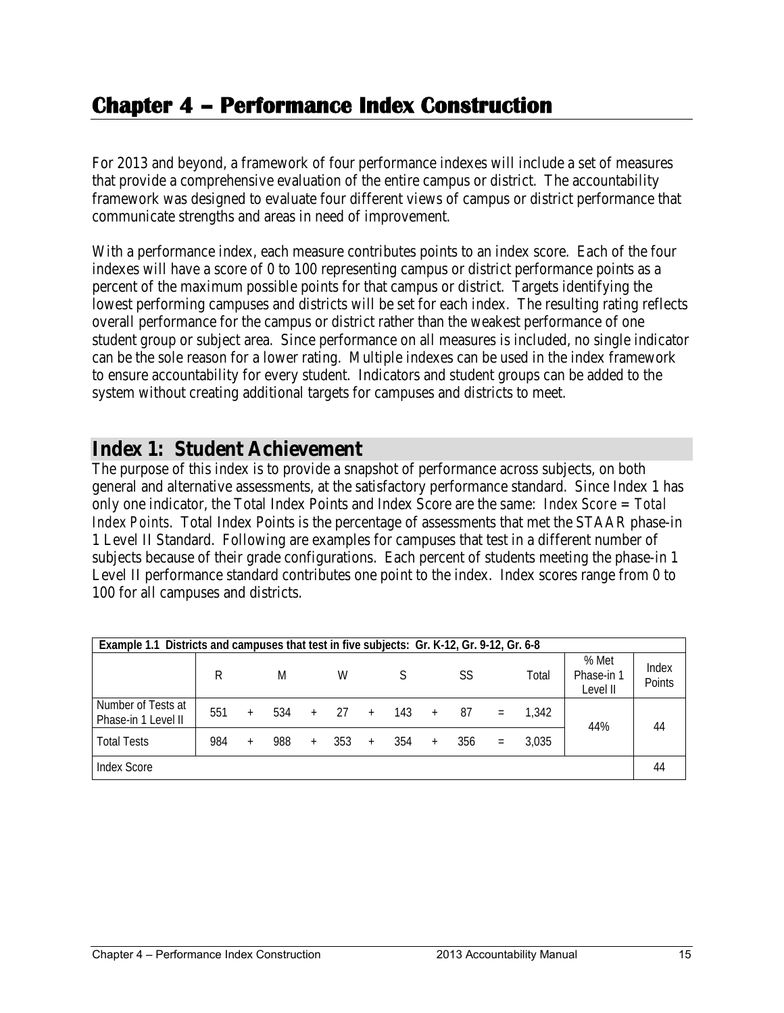# **Chapter 4 – Performance Index Construction**

For 2013 and beyond, a framework of four performance indexes will include a set of measures that provide a comprehensive evaluation of the entire campus or district. The accountability framework was designed to evaluate four different views of campus or district performance that communicate strengths and areas in need of improvement.

With a performance index, each measure contributes points to an index score. Each of the four indexes will have a score of 0 to 100 representing campus or district performance points as a percent of the maximum possible points for that campus or district. Targets identifying the lowest performing campuses and districts will be set for each index. The resulting rating reflects overall performance for the campus or district rather than the weakest performance of one student group or subject area. Since performance on all measures is included, no single indicator can be the sole reason for a lower rating. Multiple indexes can be used in the index framework to ensure accountability for every student. Indicators and student groups can be added to the system without creating additional targets for campuses and districts to meet.

#### **Index 1: Student Achievement**

The purpose of this index is to provide a snapshot of performance across subjects, on both general and alternative assessments, at the satisfactory performance standard. Since Index 1 has only one indicator, the Total Index Points and Index Score are the same: *Index Score = Total Index Points*. Total Index Points is the percentage of assessments that met the STAAR phase-in 1 Level II Standard. Following are examples for campuses that test in a different number of subjects because of their grade configurations. Each percent of students meeting the phase-in 1 Level II performance standard contributes one point to the index. Index scores range from 0 to 100 for all campuses and districts.

| Example 1.1 Districts and campuses that test in five subjects: Gr. K-12, Gr. 9-12, Gr. 6-8 |     |        |     |     |     |     |     |     |     |          |       |                                 |                 |
|--------------------------------------------------------------------------------------------|-----|--------|-----|-----|-----|-----|-----|-----|-----|----------|-------|---------------------------------|-----------------|
|                                                                                            | R   |        | M   |     | W   |     |     |     | SS  |          | Total | % Met<br>Phase-in 1<br>Level II | Index<br>Points |
| Number of Tests at<br>Phase-in 1 Level II                                                  | 551 | $^{+}$ | 534 | $+$ | 27  | $+$ | 143 | $+$ | 87  | $\equiv$ | 1.342 | 44%                             | 44              |
| <b>Total Tests</b>                                                                         | 984 | $^{+}$ | 988 | $+$ | 353 |     | 354 |     | 356 | $=$      | 3.035 |                                 |                 |
| Index Score                                                                                |     |        |     |     |     |     |     |     |     |          |       |                                 | 44              |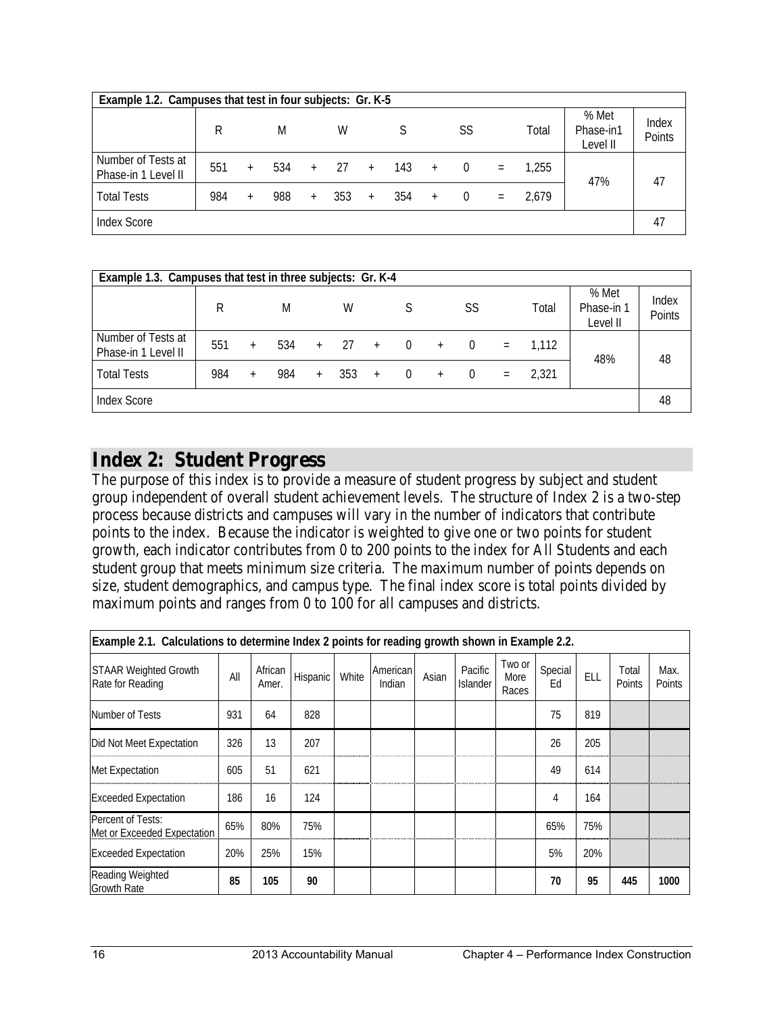| Example 1.2. Campuses that test in four subjects: Gr. K-5 |     |        |     |     |     |     |       |        |          |     |       |                                |                 |
|-----------------------------------------------------------|-----|--------|-----|-----|-----|-----|-------|--------|----------|-----|-------|--------------------------------|-----------------|
|                                                           | R   |        | M   |     | W   |     |       |        | SS       |     | Total | % Met<br>Phase-in1<br>Level II | Index<br>Points |
| Number of Tests at<br>Phase-in 1 Level II                 | 551 | $+$    | 534 | $+$ | 27  | $+$ | - 143 | $^{+}$ | $\Omega$ | $=$ | 1,255 | 47%                            | 47              |
| <b>Total Tests</b>                                        | 984 | $^{+}$ | 988 | $+$ | 353 | $+$ | 354   | $+$    | $\Omega$ | $=$ | 2.679 |                                |                 |
| <b>Index Score</b>                                        |     |        |     |     |     |     |       |        |          |     |       |                                | 47              |

| Example 1.3. Campuses that test in three subjects: Gr. K-4 |     |     |     |     |     |     |          |        |          |          |       |                                 |                 |
|------------------------------------------------------------|-----|-----|-----|-----|-----|-----|----------|--------|----------|----------|-------|---------------------------------|-----------------|
|                                                            | R   |     | M   |     | W   |     |          |        | SS       |          | Total | % Met<br>Phase-in 1<br>Level II | Index<br>Points |
| Number of Tests at<br>Phase-in 1 Level II                  | 551 | $+$ | 534 | $+$ | 27  | $+$ | $\Omega$ | $+$    | $\Omega$ | $\equiv$ | 1.112 | 48%                             | 48              |
| <b>Total Tests</b>                                         | 984 | $+$ | 984 | $+$ | 353 | $+$ | $\Omega$ | $^{+}$ | $\Omega$ | $\equiv$ | 2.321 |                                 |                 |
| <b>Index Score</b>                                         |     |     |     |     |     |     |          |        |          |          |       |                                 | 48              |

## **Index 2: Student Progress**

The purpose of this index is to provide a measure of student progress by subject and student group independent of overall student achievement levels. The structure of Index 2 is a two-step process because districts and campuses will vary in the number of indicators that contribute points to the index. Because the indicator is weighted to give one or two points for student growth, each indicator contributes from 0 to 200 points to the index for All Students and each student group that meets minimum size criteria. The maximum number of points depends on size, student demographics, and campus type. The final index score is total points divided by maximum points and ranges from 0 to 100 for all campuses and districts.

| Example 2.1. Calculations to determine Index 2 points for reading growth shown in Example 2.2. |     |                  |          |       |                    |       |                     |                         |               |     |                 |                |
|------------------------------------------------------------------------------------------------|-----|------------------|----------|-------|--------------------|-------|---------------------|-------------------------|---------------|-----|-----------------|----------------|
| <b>STAAR Weighted Growth</b><br>Rate for Reading                                               | All | African<br>Amer. | Hispanic | White | American<br>Indian | Asian | Pacific<br>Islander | Two or<br>More<br>Races | Special<br>Ed | ELL | Total<br>Points | Max.<br>Points |
| Number of Tests                                                                                | 931 | 64               | 828      |       |                    |       |                     |                         | 75            | 819 |                 |                |
| Did Not Meet Expectation                                                                       | 326 | 13               | 207      |       |                    |       |                     |                         | 26            | 205 |                 |                |
| Met Expectation                                                                                | 605 | 51               | 621      |       |                    |       |                     |                         | 49            | 614 |                 |                |
| <b>Exceeded Expectation</b>                                                                    | 186 | 16               | 124      |       |                    |       |                     |                         | 4             | 164 |                 |                |
| Percent of Tests:<br>Met or Exceeded Expectation                                               | 65% | 80%              | 75%      |       |                    |       |                     |                         | 65%           | 75% |                 |                |
| <b>Exceeded Expectation</b>                                                                    | 20% | 25%              | 15%      |       |                    |       |                     |                         | 5%            | 20% |                 |                |
| Reading Weighted<br><b>Growth Rate</b>                                                         | 85  | 105              | 90       |       |                    |       |                     |                         | 70            | 95  | 445             | 1000           |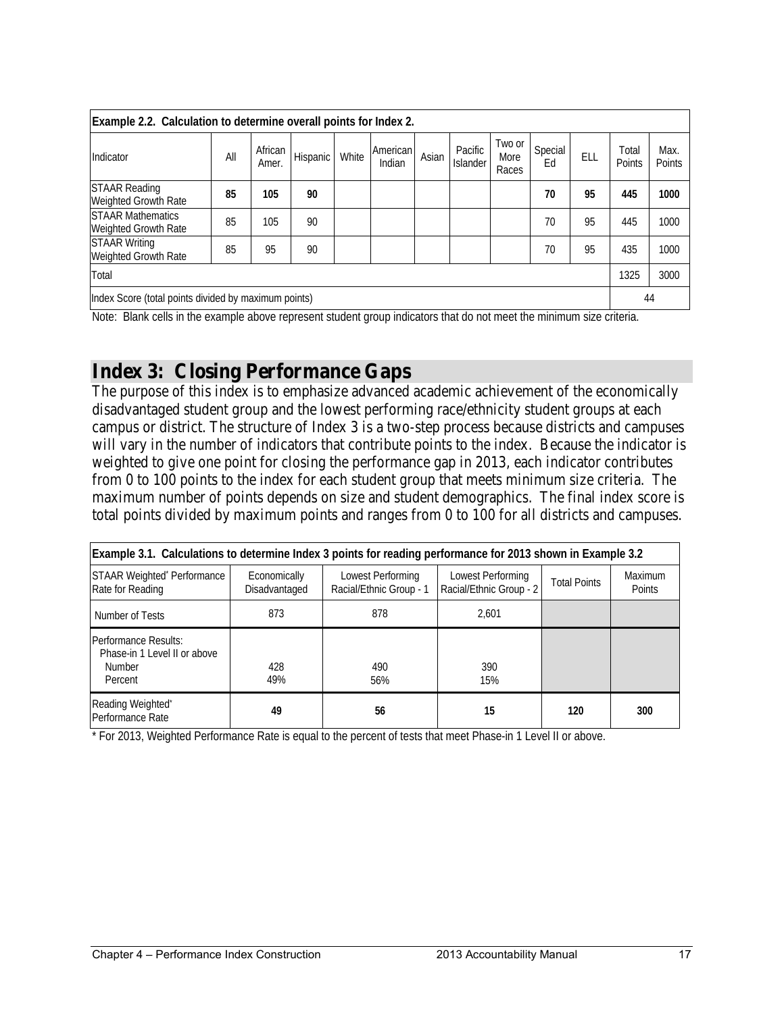| Example 2.2. Calculation to determine overall points for Index 2. |     |                  |          |       |                    |       |                            |                         |               |     |                 |                |
|-------------------------------------------------------------------|-----|------------------|----------|-------|--------------------|-------|----------------------------|-------------------------|---------------|-----|-----------------|----------------|
| Indicator                                                         | All | African<br>Amer. | Hispanic | White | American<br>Indian | Asian | Pacific<br><b>Islander</b> | Two or<br>More<br>Races | Special<br>Ed | ELL | Total<br>Points | Max.<br>Points |
| <b>STAAR Reading</b><br>Weighted Growth Rate                      | 85  | 105              | 90       |       |                    |       |                            |                         | 70            | 95  | 445             | 1000           |
| <b>STAAR Mathematics</b><br>Weighted Growth Rate                  | 85  | 105              | 90       |       |                    |       |                            |                         | 70            | 95  | 445             | 1000           |
| <b>STAAR Writing</b><br>Weighted Growth Rate                      | 85  | 95               | 90       |       |                    |       |                            |                         | 70            | 95  | 435             | 1000           |
| Total                                                             |     |                  |          |       |                    |       |                            |                         |               |     | 1325            | 3000           |
| Index Score (total points divided by maximum points)<br>44        |     |                  |          |       |                    |       |                            |                         |               |     |                 |                |

Note: Blank cells in the example above represent student group indicators that do not meet the minimum size criteria.

#### **Index 3: Closing Performance Gaps**

The purpose of this index is to emphasize advanced academic achievement of the economically disadvantaged student group and the lowest performing race/ethnicity student groups at each campus or district. The structure of Index 3 is a two-step process because districts and campuses will vary in the number of indicators that contribute points to the index. Because the indicator is weighted to give one point for closing the performance gap in 2013, each indicator contributes from 0 to 100 points to the index for each student group that meets minimum size criteria. The maximum number of points depends on size and student demographics. The final index score is total points divided by maximum points and ranges from 0 to 100 for all districts and campuses.

|                                                                           | Example 3.1. Calculations to determine Index 3 points for reading performance for 2013 shown in Example 3.2 |                                              |                                              |                     |                          |  |  |  |  |  |  |  |
|---------------------------------------------------------------------------|-------------------------------------------------------------------------------------------------------------|----------------------------------------------|----------------------------------------------|---------------------|--------------------------|--|--|--|--|--|--|--|
| STAAR Weighted* Performance<br>Rate for Reading                           | Economically<br>Disadvantaged                                                                               | Lowest Performing<br>Racial/Ethnic Group - 1 | Lowest Performing<br>Racial/Ethnic Group - 2 | <b>Total Points</b> | <b>Maximum</b><br>Points |  |  |  |  |  |  |  |
| Number of Tests                                                           | 873                                                                                                         | 878                                          | 2.601                                        |                     |                          |  |  |  |  |  |  |  |
| Performance Results:<br>Phase-in 1 Level II or above<br>Number<br>Percent | 428<br>49%                                                                                                  | 490<br>56%                                   | 390<br>15%                                   |                     |                          |  |  |  |  |  |  |  |
| Reading Weighted*<br>Performance Rate                                     | 49                                                                                                          | 56                                           | 15                                           | 120                 | 300                      |  |  |  |  |  |  |  |

\* For 2013, Weighted Performance Rate is equal to the percent of tests that meet Phase-in 1 Level II or above.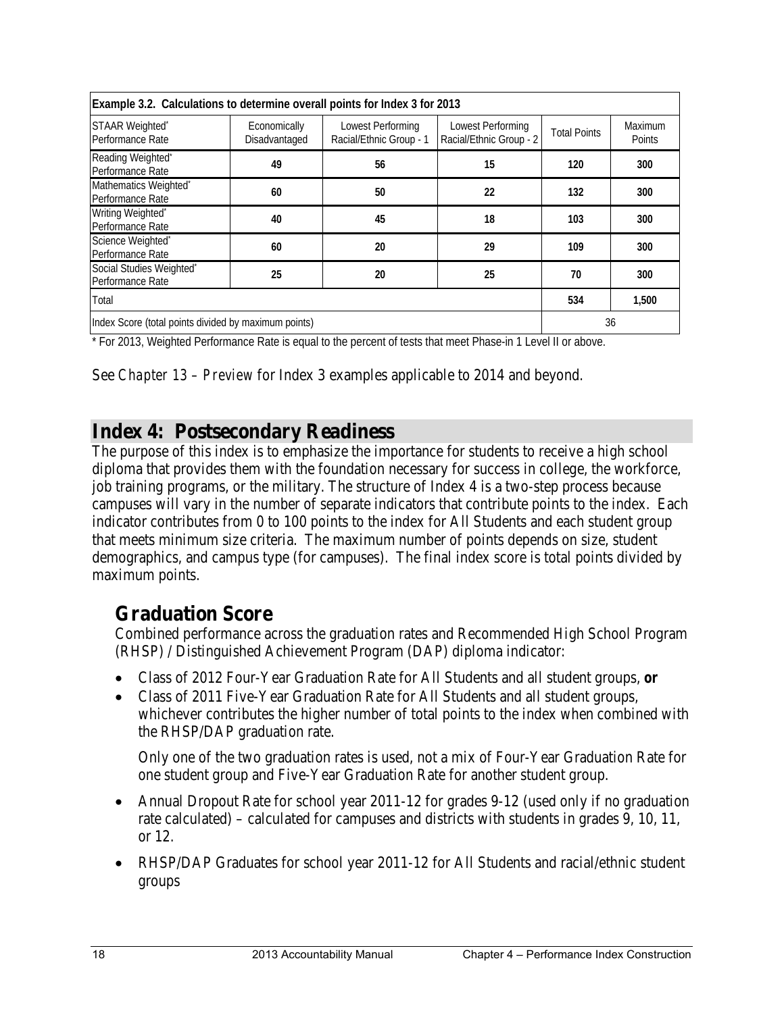| Example 3.2. Calculations to determine overall points for Index 3 for 2013 |                               |                                              |                                              |                     |                   |  |  |  |  |  |  |
|----------------------------------------------------------------------------|-------------------------------|----------------------------------------------|----------------------------------------------|---------------------|-------------------|--|--|--|--|--|--|
| STAAR Weighted*<br>Performance Rate                                        | Economically<br>Disadvantaged | Lowest Performing<br>Racial/Ethnic Group - 1 | Lowest Performing<br>Racial/Ethnic Group - 2 | <b>Total Points</b> | Maximum<br>Points |  |  |  |  |  |  |
| Reading Weighted*<br>Performance Rate                                      | 49                            | 56                                           | 15                                           | 120                 | 300               |  |  |  |  |  |  |
| Mathematics Weighted*<br>Performance Rate                                  | 60                            | 50                                           | 22                                           | 132                 | 300               |  |  |  |  |  |  |
| Writing Weighted*<br>Performance Rate                                      | 40                            | 45                                           | 18                                           | 103                 | 300               |  |  |  |  |  |  |
| Science Weighted*<br>Performance Rate                                      | 60                            | 20                                           | 29                                           | 109                 | 300               |  |  |  |  |  |  |
| Social Studies Weighted*<br>Performance Rate                               | 25                            | 20                                           | 25                                           | 70                  | 300               |  |  |  |  |  |  |
| Total                                                                      |                               |                                              |                                              | 534                 | 1,500             |  |  |  |  |  |  |
| Index Score (total points divided by maximum points)<br>36                 |                               |                                              |                                              |                     |                   |  |  |  |  |  |  |

\* For 2013, Weighted Performance Rate is equal to the percent of tests that meet Phase-in 1 Level II or above.

See *Chapter 13 – Preview* for Index 3 examples applicable to 2014 and beyond.

### **Index 4: Postsecondary Readiness**

The purpose of this index is to emphasize the importance for students to receive a high school diploma that provides them with the foundation necessary for success in college, the workforce, job training programs, or the military. The structure of Index 4 is a two-step process because campuses will vary in the number of separate indicators that contribute points to the index. Each indicator contributes from 0 to 100 points to the index for All Students and each student group that meets minimum size criteria. The maximum number of points depends on size, student demographics, and campus type (for campuses). The final index score is total points divided by maximum points.

#### **Graduation Score**

Combined performance across the graduation rates and Recommended High School Program (RHSP) / Distinguished Achievement Program (DAP) diploma indicator:

- Class of 2012 Four-Year Graduation Rate for All Students and all student groups, *or*
- Class of 2011 Five-Year Graduation Rate for All Students and all student groups, whichever contributes the higher number of total points to the index when combined with the RHSP/DAP graduation rate.

Only one of the two graduation rates is used, not a mix of Four-Year Graduation Rate for one student group and Five-Year Graduation Rate for another student group.

- Annual Dropout Rate for school year 2011-12 for grades 9-12 (used only if no graduation rate calculated) – calculated for campuses and districts with students in grades 9, 10, 11, or 12.
- RHSP/DAP Graduates for school year 2011-12 for All Students and racial/ethnic student groups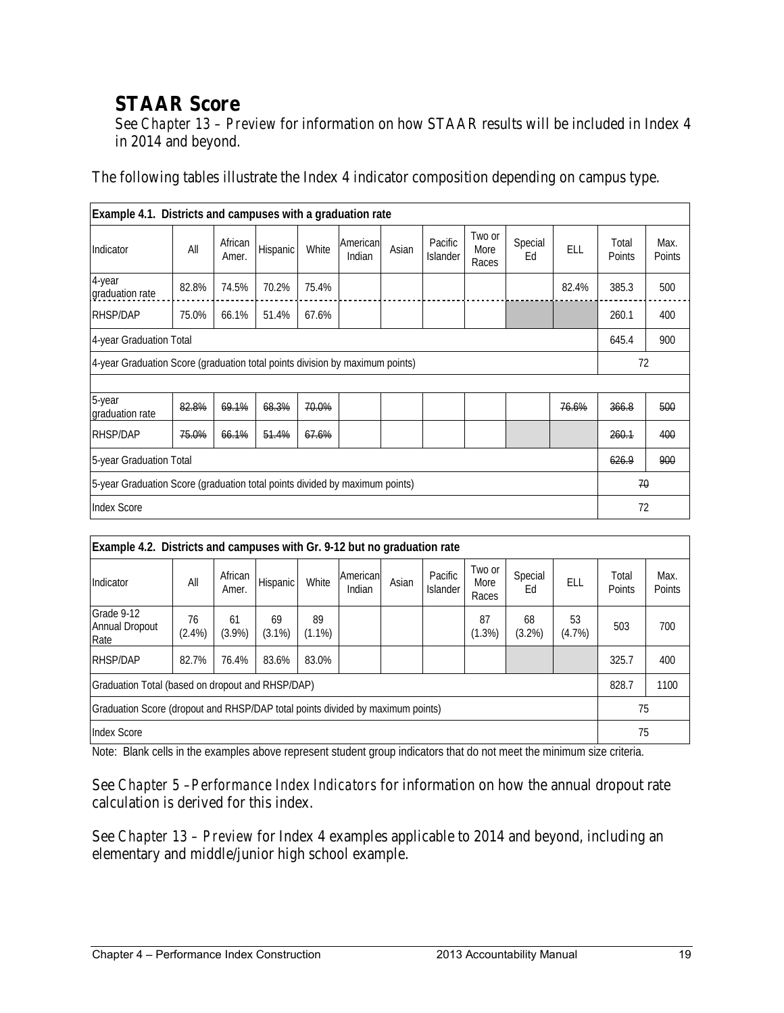# **STAAR Score**

See *Chapter 13 – Preview* for information on how STAAR results will be included in Index 4 in 2014 and beyond.

The following tables illustrate the Index 4 indicator composition depending on campus type.

| Example 4.1. Districts and campuses with a graduation rate                   |       |                  |                 |       |                    |       |                     |                         |               |       |                 |                |
|------------------------------------------------------------------------------|-------|------------------|-----------------|-------|--------------------|-------|---------------------|-------------------------|---------------|-------|-----------------|----------------|
| Indicator                                                                    | All   | African<br>Amer. | <b>Hispanic</b> | White | American<br>Indian | Asian | Pacific<br>Islander | Two or<br>More<br>Races | Special<br>Ed | ELL   | Total<br>Points | Max.<br>Points |
| 4-year<br>graduation rate                                                    | 82.8% | 74.5%            | 70.2%           | 75.4% |                    |       |                     |                         |               | 82.4% | 385.3           | 500            |
| <b>RHSP/DAP</b>                                                              | 75.0% | 66.1%            | 51.4%           | 67.6% |                    |       |                     |                         |               |       | 260.1           | 400            |
| 4-year Graduation Total                                                      |       |                  |                 |       |                    |       |                     |                         |               |       | 645.4           | 900            |
| 4-year Graduation Score (graduation total points division by maximum points) |       |                  |                 |       |                    |       |                     |                         |               |       | 72              |                |
|                                                                              |       |                  |                 |       |                    |       |                     |                         |               |       |                 |                |
| 5-year<br>graduation rate                                                    | 82.8% | 69.1%            | 68.3%           | 70.0% |                    |       |                     |                         |               | 76.6% | 366.8           | 500            |
| <b>RHSP/DAP</b>                                                              | 75.0% | 66.1%            | 51.4%           | 67.6% |                    |       |                     |                         |               |       | 260.1           | 400            |
| 5-year Graduation Total                                                      |       |                  |                 |       |                    |       |                     |                         |               |       | 626.9           | 900            |
| 5-year Graduation Score (graduation total points divided by maximum points)  |       |                  |                 |       |                    |       |                     |                         |               |       | 70              |                |
| 72<br><b>Index Score</b>                                                     |       |                  |                 |       |                    |       |                     |                         |               |       |                 |                |

| Example 4.2. Districts and campuses with Gr. 9-12 but no graduation rate             |                 |                  |                 |                 |                    |       |                            |                         |                 |              |                 |                |
|--------------------------------------------------------------------------------------|-----------------|------------------|-----------------|-----------------|--------------------|-------|----------------------------|-------------------------|-----------------|--------------|-----------------|----------------|
| Indicator                                                                            | All             | African<br>Amer. | Hispanic        | White           | American<br>Indian | Asian | Pacific<br><b>Islander</b> | Two or<br>More<br>Races | Special<br>Eq   | ELL          | Total<br>Points | Max.<br>Points |
| Grade 9-12<br>Annual Dropout<br>Rate                                                 | 76<br>$(2.4\%)$ | 61<br>$(3.9\%)$  | 69<br>$(3.1\%)$ | 89<br>$(1.1\%)$ |                    |       |                            | 87<br>$(1.3\%)$         | 68<br>$(3.2\%)$ | 53<br>(4.7%) | 503             | 700            |
| <b>RHSP/DAP</b>                                                                      | 82.7%           | 76.4%            | 83.6%           | 83.0%           |                    |       |                            |                         |                 |              | 325.7           | 400            |
| Graduation Total (based on dropout and RHSP/DAP)                                     |                 |                  |                 |                 |                    |       |                            |                         |                 |              | 828.7           | 1100           |
| Graduation Score (dropout and RHSP/DAP total points divided by maximum points)<br>75 |                 |                  |                 |                 |                    |       |                            |                         |                 |              |                 |                |
| <b>Index Score</b><br>75                                                             |                 |                  |                 |                 |                    |       |                            |                         |                 |              |                 |                |

Note: Blank cells in the examples above represent student group indicators that do not meet the minimum size criteria.

See *Chapter 5 –Performance Index Indicators* for information on how the annual dropout rate calculation is derived for this index.

See *Chapter 13 – Preview* for Index 4 examples applicable to 2014 and beyond, including an elementary and middle/junior high school example.